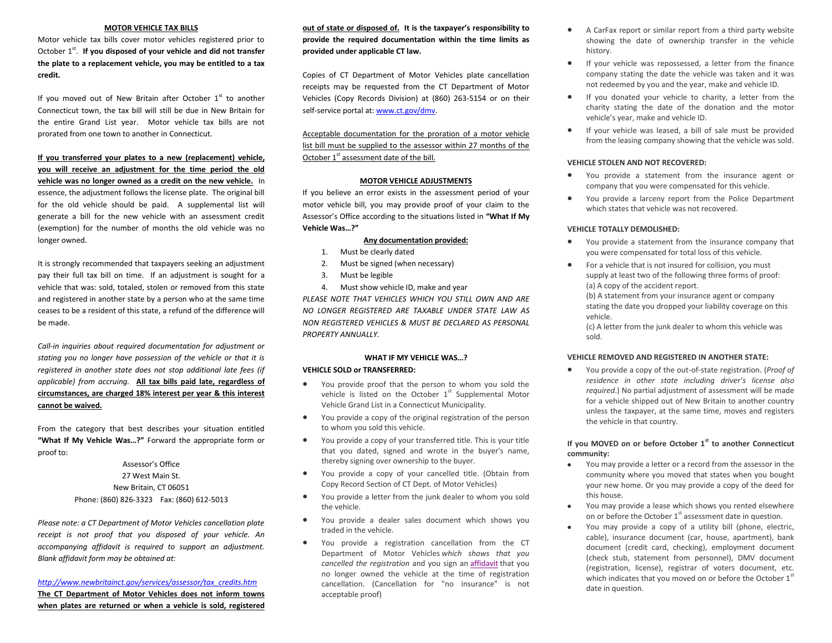## **MOTOR VEHICLE TAX BILLS**

Motor vehicle tax bills cover motor vehicles registered prior to October 1<sup>st</sup>. If you disposed of your vehicle and did not transfer **the plate to a replacement vehicle, you may be entitled to a tax credit.**

If you moved out of New Britain after October  $1<sup>st</sup>$  to another Connecticut town, the tax bill will still be due in New Britain for the entire Grand List year. Motor vehicle tax bills are not prorated from one town to another in Connecticut.

**If you transferred your plates to a new (replacement) vehicle, you will receive an adjustment for the time period the old vehicle was no longer owned as a credit on the new vehicle.** In essence, the adjustment follows the license plate. The original bill for the old vehicle should be paid. A supplemental list will generate a bill for the new vehicle with an assessment credit (exemption) for the number of months the old vehicle was no longer owned.

It is strongly recommended that taxpayers seeking an adjustment pay their full tax bill on time. If an adjustment is sought for a vehicle that was: sold, totaled, stolen or removed from this state and registered in another state by a person who at the same time ceases to be a resident of this state, a refund of the difference will be made.

*Call-in inquiries about required documentation for adjustment or stating you no longer have possession of the vehicle or that it is registered in another state does not stop additional late fees (if applicable) from accruing.* **All tax bills paid late, regardless of circumstances, are charged 18% interest per year & this interest cannot be waived.**

From the category that best describes your situation entitled **"What If My Vehicle Was…?"** Forward the appropriate form or proof to:

> Assessor's Office 27 West Main St. New Britain, CT 06051 Phone: (860) 826-3323 Fax: (860) 612-5013

*Please note: a CT Department of Motor Vehicles cancellation plate receipt is not proof that you disposed of your vehicle. An accompanying affidavit is required to support an adjustment. Blank affidavit form may be obtained at:*

*[http://www.newbritainct.gov/services/assessor/tax\\_credits.htm](http://www.newbritainct.gov/services/assessor/tax_credits.htm)*

**The CT Department of Motor Vehicles does not inform towns when plates are returned or when a vehicle is sold, registered**  **out of state or disposed of. It is the taxpayer's responsibility to provide the required documentation within the time limits as provided under applicable CT law.**

Copies of CT Department of Motor Vehicles plate cancellation receipts may be requested from the CT Department of Motor Vehicles (Copy Records Division) at (860) 263-5154 or on their self-service portal at: www.ct.gov/dmv.

Acceptable documentation for the proration of a motor vehicle list bill must be supplied to the assessor within 27 months of the October 1<sup>st</sup> assessment date of the bill.

## **MOTOR VEHICLE ADJUSTMENTS**

If you believe an error exists in the assessment period of your motor vehicle bill, you may provide proof of your claim to the Assessor's Office according to the situations listed in **"What If My Vehicle Was…?"**

## **Any documentation provided:**

- 1. Must be clearly dated
- 2. Must be signed (when necessary)
- 3. Must be legible
- 4. Must show vehicle ID, make and year

*PLEASE NOTE THAT VEHICLES WHICH YOU STILL OWN AND ARE NO LONGER REGISTERED ARE TAXABLE UNDER STATE LAW AS NON REGISTERED VEHICLES & MUST BE DECLARED AS PERSONAL PROPERTY ANNUALLY.*

## **WHAT IF MY VEHICLE WAS…?**

## **VEHICLE SOLD or TRANSFERRED:**

- You provide proof that the person to whom you sold the vehicle is listed on the October  $1<sup>st</sup>$  Supplemental Motor Vehicle Grand List in a Connecticut Municipality.
- You provide a copy of the original registration of the person to whom you sold this vehicle.
- You provide a copy of your transferred title. This is your title that you dated, signed and wrote in the buyer's name, thereby signing over ownership to the buyer.
- You provide a copy of your cancelled title. (Obtain from Copy Record Section of CT Dept. of Motor Vehicles)
- You provide a letter from the junk dealer to whom you sold the vehicle.
- You provide a dealer sales document which shows you traded in the vehicle.
- You provide a registration cancellation from the CT Department of Motor Vehicles *which shows that you cancelled the registration* and you sign an [affidavit](http://www.newbritainct.gov/civicax/filebank/blobdload.aspx?BlobID=24829) that you no longer owned the vehicle at the time of registration cancellation. (Cancellation for "no insurance" is not acceptable proof)
- A CarFax report or similar report from a third party website showing the date of ownership transfer in the vehicle history.
- If your vehicle was repossessed, a letter from the finance company stating the date the vehicle was taken and it was not redeemed by you and the year, make and vehicle ID.
- If you donated your vehicle to charity, a letter from the charity stating the date of the donation and the motor vehicle's year, make and vehicle ID.
- If your vehicle was leased, a bill of sale must be provided from the leasing company showing that the vehicle was sold.

## **VEHICLE STOLEN AND NOT RECOVERED:**

- You provide a statement from the insurance agent or company that you were compensated for this vehicle.
- You provide a larceny report from the Police Department which states that vehicle was not recovered.

## **VEHICLE TOTALLY DEMOLISHED:**

- You provide a statement from the insurance company that you were compensated for total loss of this vehicle.
- For a vehicle that is not insured for collision, you must supply at least two of the following three forms of proof: (a) A copy of the accident report.

(b) A statement from your insurance agent or company stating the date you dropped your liability coverage on this vehicle.

(c) A letter from the junk dealer to whom this vehicle was sold.

## **VEHICLE REMOVED AND REGISTERED IN ANOTHER STATE:**

 You provide a copy of the out-of-state registration. (*Proof of residence in other state including driver's license also required*.) No partial adjustment of assessment will be made for a vehicle shipped out of New Britain to another country unless the taxpayer, at the same time, moves and registers the vehicle in that country.

## **If you MOVED on or before October 1st to another Connecticut community:**

- You may provide a letter or a record from the assessor in the community where you moved that states when you bought your new home. Or you may provide a copy of the deed for this house.
- You may provide a lease which shows you rented elsewhere on or before the October  $1<sup>st</sup>$  assessment date in question.
- You may provide a copy of a utility bill (phone, electric, cable), insurance document (car, house, apartment), bank document (credit card, checking), employment document (check stub, statement from personnel), DMV document (registration, license), registrar of voters document, etc. which indicates that you moved on or before the October 1st date in question.